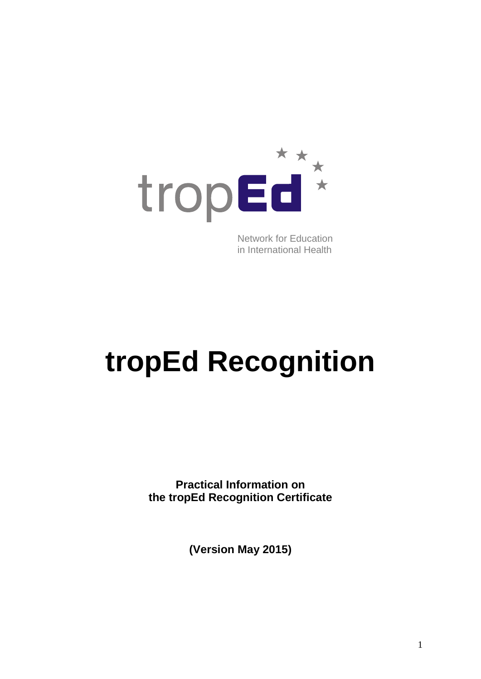

Network for Education in International Health

# **tropEd Recognition**

**Practical Information on the tropEd Recognition Certificate**

**(Version May 2015)**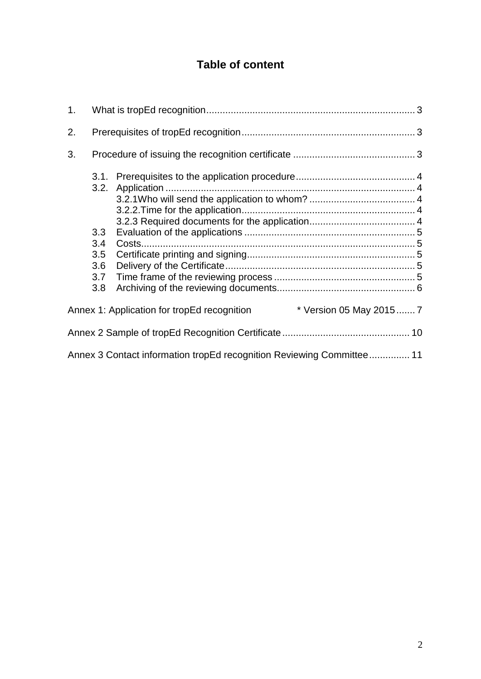# **Table of content**

| 1. |                  |                                                                        |  |
|----|------------------|------------------------------------------------------------------------|--|
| 2. |                  |                                                                        |  |
| 3. |                  |                                                                        |  |
|    |                  |                                                                        |  |
|    |                  |                                                                        |  |
|    | 3.3 <sub>2</sub> |                                                                        |  |
|    | 3.4              |                                                                        |  |
|    | 3.5              |                                                                        |  |
|    | 3.6              |                                                                        |  |
|    | 3.7              |                                                                        |  |
|    | 3.8              |                                                                        |  |
|    |                  | * Version 05 May 2015 7<br>Annex 1: Application for tropEd recognition |  |
|    |                  |                                                                        |  |
|    |                  | Annex 3 Contact information tropEd recognition Reviewing Committee 11  |  |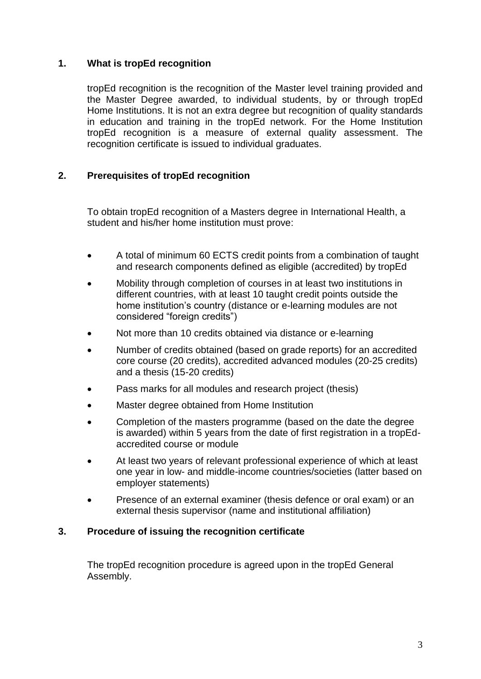#### <span id="page-2-0"></span>**1. What is tropEd recognition**

tropEd recognition is the recognition of the Master level training provided and the Master Degree awarded, to individual students, by or through tropEd Home Institutions. It is not an extra degree but recognition of quality standards in education and training in the tropEd network. For the Home Institution tropEd recognition is a measure of external quality assessment. The recognition certificate is issued to individual graduates.

#### <span id="page-2-1"></span>**2. Prerequisites of tropEd recognition**

To obtain tropEd recognition of a Masters degree in International Health, a student and his/her home institution must prove:

- A total of minimum 60 ECTS credit points from a combination of taught and research components defined as eligible (accredited) by tropEd
- Mobility through completion of courses in at least two institutions in different countries, with at least 10 taught credit points outside the home institution's country (distance or e-learning modules are not considered "foreign credits")
- Not more than 10 credits obtained via distance or e-learning
- Number of credits obtained (based on grade reports) for an accredited core course (20 credits), accredited advanced modules (20-25 credits) and a thesis (15-20 credits)
- Pass marks for all modules and research project (thesis)
- Master degree obtained from Home Institution
- Completion of the masters programme (based on the date the degree is awarded) within 5 years from the date of first registration in a tropEdaccredited course or module
- At least two years of relevant professional experience of which at least one year in low- and middle-income countries/societies (latter based on employer statements)
- Presence of an external examiner (thesis defence or oral exam) or an external thesis supervisor (name and institutional affiliation)

#### <span id="page-2-2"></span>**3. Procedure of issuing the recognition certificate**

The tropEd recognition procedure is agreed upon in the tropEd General Assembly.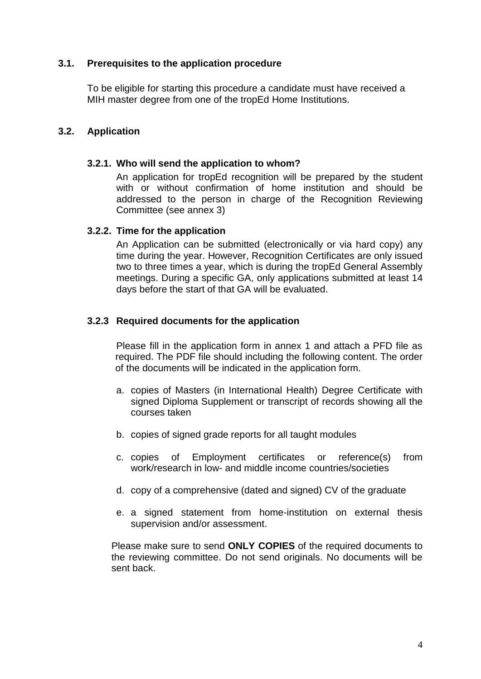#### <span id="page-3-0"></span>**3.1. Prerequisites to the application procedure**

To be eligible for starting this procedure a candidate must have received a MIH master degree from one of the tropEd Home Institutions.

#### <span id="page-3-2"></span><span id="page-3-1"></span>**3.2. Application**

#### **3.2.1. Who will send the application to whom?**

An application for tropEd recognition will be prepared by the student with or without confirmation of home institution and should be addressed to the person in charge of the Recognition Reviewing Committee (see annex 3)

#### <span id="page-3-3"></span>**3.2.2. Time for the application**

An Application can be submitted (electronically or via hard copy) any time during the year. However, Recognition Certificates are only issued two to three times a year, which is during the tropEd General Assembly meetings. During a specific GA, only applications submitted at least 14 days before the start of that GA will be evaluated.

#### <span id="page-3-4"></span>**3.2.3 Required documents for the application**

Please fill in the application form in annex 1 and attach a PFD file as required. The PDF file should including the following content. The order of the documents will be indicated in the application form.

- a. copies of Masters (in International Health) Degree Certificate with signed Diploma Supplement or transcript of records showing all the courses taken
- b. copies of signed grade reports for all taught modules
- c. copies of Employment certificates or reference(s) from work/research in low- and middle income countries/societies
- d. copy of a comprehensive (dated and signed) CV of the graduate
- e. a signed statement from home-institution on external thesis supervision and/or assessment.

Please make sure to send **ONLY COPIES** of the required documents to the reviewing committee. Do not send originals. No documents will be sent back.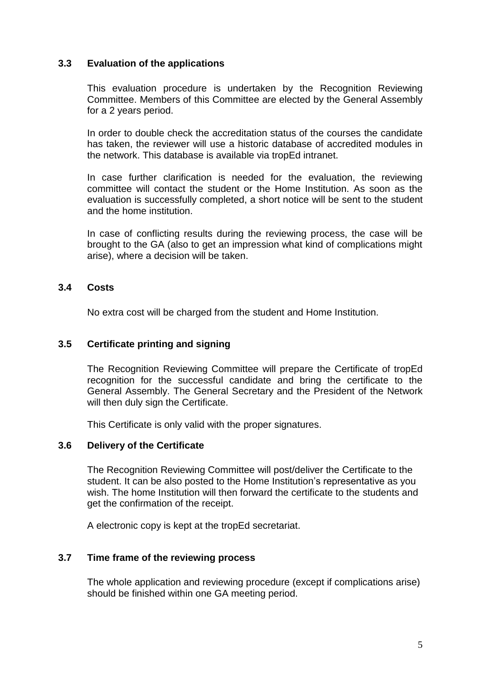#### <span id="page-4-0"></span>**3.3 Evaluation of the applications**

This evaluation procedure is undertaken by the Recognition Reviewing Committee. Members of this Committee are elected by the General Assembly for a 2 years period.

In order to double check the accreditation status of the courses the candidate has taken, the reviewer will use a historic database of accredited modules in the network. This database is available via tropEd intranet.

In case further clarification is needed for the evaluation, the reviewing committee will contact the student or the Home Institution. As soon as the evaluation is successfully completed, a short notice will be sent to the student and the home institution.

In case of conflicting results during the reviewing process, the case will be brought to the GA (also to get an impression what kind of complications might arise), where a decision will be taken.

#### <span id="page-4-1"></span>**3.4 Costs**

No extra cost will be charged from the student and Home Institution.

#### <span id="page-4-2"></span>**3.5 Certificate printing and signing**

The Recognition Reviewing Committee will prepare the Certificate of tropEd recognition for the successful candidate and bring the certificate to the General Assembly. The General Secretary and the President of the Network will then duly sign the Certificate.

This Certificate is only valid with the proper signatures.

#### <span id="page-4-3"></span>**3.6 Delivery of the Certificate**

The Recognition Reviewing Committee will post/deliver the Certificate to the student. It can be also posted to the Home Institution's representative as you wish. The home Institution will then forward the certificate to the students and get the confirmation of the receipt.

A electronic copy is kept at the tropEd secretariat.

#### <span id="page-4-4"></span>**3.7 Time frame of the reviewing process**

The whole application and reviewing procedure (except if complications arise) should be finished within one GA meeting period.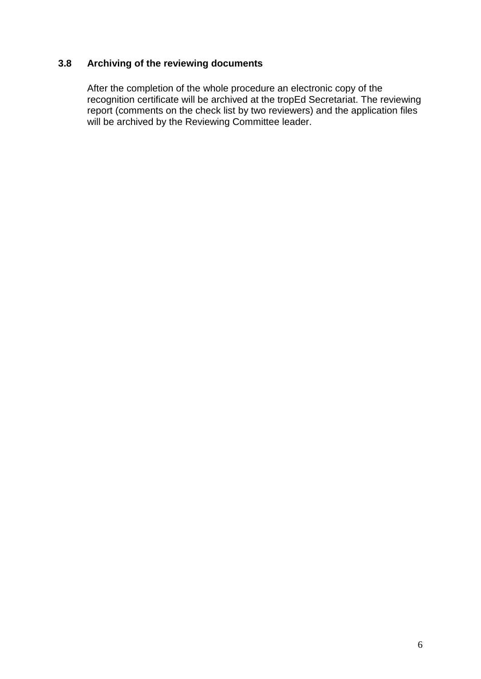#### <span id="page-5-0"></span>**3.8 Archiving of the reviewing documents**

After the completion of the whole procedure an electronic copy of the recognition certificate will be archived at the tropEd Secretariat. The reviewing report (comments on the check list by two reviewers) and the application files will be archived by the Reviewing Committee leader.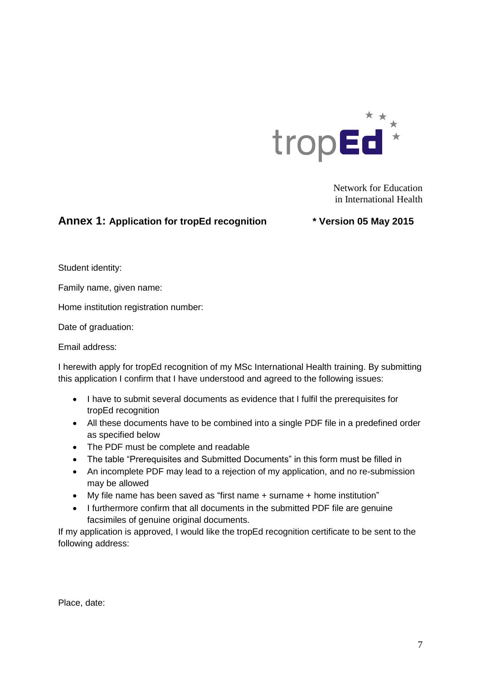

Network for Education in International Health

#### <span id="page-6-0"></span>**Annex 1: Application for tropEd recognition \* Version 05 May 2015**

Student identity:

Family name, given name:

Home institution registration number:

Date of graduation:

Email address:

I herewith apply for tropEd recognition of my MSc International Health training. By submitting this application I confirm that I have understood and agreed to the following issues:

- I have to submit several documents as evidence that I fulfil the prerequisites for tropEd recognition
- All these documents have to be combined into a single PDF file in a predefined order as specified below
- The PDF must be complete and readable
- The table "Prerequisites and Submitted Documents" in this form must be filled in
- An incomplete PDF may lead to a rejection of my application, and no re-submission may be allowed
- My file name has been saved as "first name + surname + home institution"
- I furthermore confirm that all documents in the submitted PDF file are genuine facsimiles of genuine original documents.

If my application is approved, I would like the tropEd recognition certificate to be sent to the following address:

Place, date: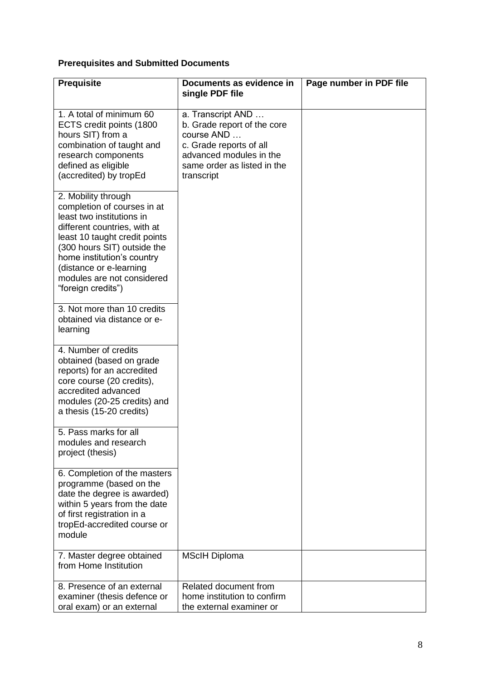## **Prerequisites and Submitted Documents**

| <b>Prequisite</b>                                                                                                                                                                                                                                                                            | Documents as evidence in<br>single PDF file                                                                                                                       | Page number in PDF file |
|----------------------------------------------------------------------------------------------------------------------------------------------------------------------------------------------------------------------------------------------------------------------------------------------|-------------------------------------------------------------------------------------------------------------------------------------------------------------------|-------------------------|
| 1. A total of minimum 60<br>ECTS credit points (1800<br>hours SIT) from a<br>combination of taught and<br>research components<br>defined as eligible<br>(accredited) by tropEd                                                                                                               | a. Transcript AND<br>b. Grade report of the core<br>course AND<br>c. Grade reports of all<br>advanced modules in the<br>same order as listed in the<br>transcript |                         |
| 2. Mobility through<br>completion of courses in at<br>least two institutions in<br>different countries, with at<br>least 10 taught credit points<br>(300 hours SIT) outside the<br>home institution's country<br>(distance or e-learning<br>modules are not considered<br>"foreign credits") |                                                                                                                                                                   |                         |
| 3. Not more than 10 credits<br>obtained via distance or e-<br>learning                                                                                                                                                                                                                       |                                                                                                                                                                   |                         |
| 4. Number of credits<br>obtained (based on grade<br>reports) for an accredited<br>core course (20 credits),<br>accredited advanced<br>modules (20-25 credits) and<br>a thesis (15-20 credits)                                                                                                |                                                                                                                                                                   |                         |
| 5. Pass marks for all<br>modules and research<br>project (thesis)                                                                                                                                                                                                                            |                                                                                                                                                                   |                         |
| 6. Completion of the masters<br>programme (based on the<br>date the degree is awarded)<br>within 5 years from the date<br>of first registration in a<br>tropEd-accredited course or<br>module                                                                                                |                                                                                                                                                                   |                         |
| 7. Master degree obtained<br>from Home Institution                                                                                                                                                                                                                                           | <b>MScIH Diploma</b>                                                                                                                                              |                         |
| 8. Presence of an external<br>examiner (thesis defence or<br>oral exam) or an external                                                                                                                                                                                                       | Related document from<br>home institution to confirm<br>the external examiner or                                                                                  |                         |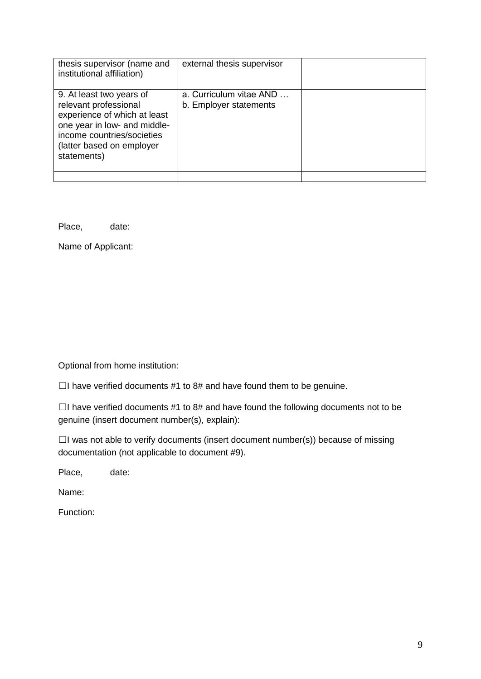| thesis supervisor (name and<br>institutional affiliation)                                                                                                                                   | external thesis supervisor                        |  |
|---------------------------------------------------------------------------------------------------------------------------------------------------------------------------------------------|---------------------------------------------------|--|
| 9. At least two years of<br>relevant professional<br>experience of which at least<br>one year in low- and middle-<br>income countries/societies<br>(latter based on employer<br>statements) | a. Curriculum vitae AND<br>b. Employer statements |  |
|                                                                                                                                                                                             |                                                   |  |

Place, date:

Name of Applicant:

Optional from home institution:

 $\Box$ I have verified documents #1 to 8# and have found them to be genuine.

 $\Box$ I have verified documents #1 to 8# and have found the following documents not to be genuine (insert document number(s), explain):

☐I was not able to verify documents (insert document number(s)) because of missing documentation (not applicable to document #9).

Place, date:

Name:

Function: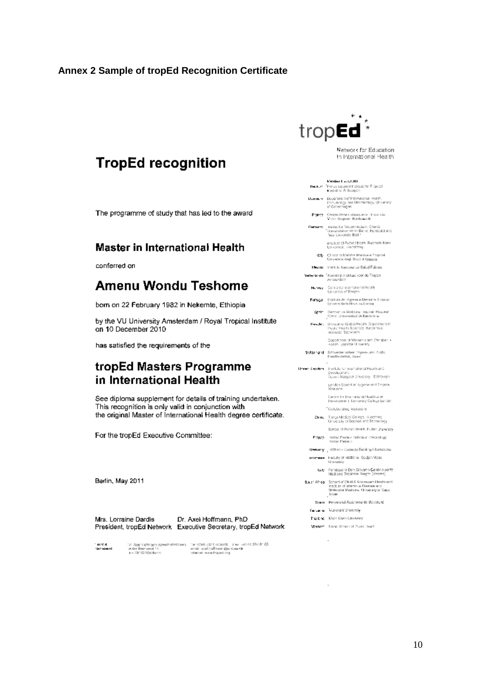#### <span id="page-9-0"></span>**Annex 2 Sample of tropEd Recognition Certificate**

# **TropEd recognition**

The programme of study that has led to the award

#### **Master in International Health**

conferred on

## Amenu Wondu Teshome

born on 22 February 1982 in Nekemte, Ethiopia

by the VU University Amsterdam / Royal Tropical Institute on 10 December 2010

has satisfied the requirements of the

### tropEd Masters Programme in International Health

See diploma supplement for details of training undertaken. This recognition is only valid in conjunction with the original Master of International Health degree certificate.

For the tropEd Executive Committee:

Berlin, May 2011

| Mrs. Lorraine Dardis . | Dr. Axei Hoffmann, PhD                                            |
|------------------------|-------------------------------------------------------------------|
|                        | President, tropEd Network - Executive Secretary, tropEd Network - |

i metal<br>Secolarist

: Aggi Hofmann (Geschstickhave) – Twi OMS 2011 (OSAM – Two 1411 ôf 254 81 06<br>1936: Bernevald (s. 1996) – ensimal haffmanggannaa (b. 1997)<br>11-2018: Wyddardd



Network for Education In International Health

Render that J 202 Because - Pressu Lacipoid Institute for Tropical<br>Medicine Antworpers

- $\begin{tabular}{ll} \textbf{D}_{\text{MHLM}} \times & \textbf{D} \texttt{u} \texttt{a} \texttt{a} \texttt{a} \texttt{b} \texttt{b} \texttt{b} \texttt{b} \texttt{b} \texttt{b} \texttt{b} \texttt{b} \texttt{c} \texttt{b} \texttt{b} \texttt{b} \texttt{c} \texttt{b} \texttt{b} \texttt{c} \texttt{b} \texttt{b} \texttt{c} \texttt{b} \texttt{b} \texttt{c} \texttt{b} \texttt{b} \texttt{c} \texttt{b} \texttt{c} \texttt{$
- France Centre Rene Lidusquérie Université<br>Victor Segaten, Burdeaux (I
- Germany instantia Trepennedian, Charlis<br>Universitation of the Humbold and<br>Free University Both
	- institute of Public Health, Rupreck-Karls<br>Liniversität, Herzelberg
	- $45$ g Clance di Malette Internal a Tropical<br>- Umversio degli Socii di Sissue
- Mezint Institute Nacional de Salud Pública Nettenbende - Konmitijs Instituut voor de Tropon.<br>Amsterdert
	- No very Centre for international Health<br>University of Bergen
	- ${\sf For} {\sf log} {\mathcal{J}}$  . Institute de Higeros e Mediania Tropical Universidade Nova da Lisboa
	- Sprin Sweden de Medicina Tropical, Magdal<br>Clima: Universidad de Barcelonia
	- Ker år . Division af Gabal Health Gapanment ef<br>Pusike Health Speriods Kerclinska<br>Instaute: Stockholm

Opportment of Wamen's and Christian +<br>Health, Uppsala University

- SMZ0121d Scriverzeisches Imperiumd A.M.:<br>Besithernehit, Basel
- Univer Kreptern Institute for international Heads and<br>- Development Devoksament<br>Guuen Margaret University - Edinburgh -Lendon Sonool of Hygene and Tropical
	- Carers for International Health and<br>Development, Deversity College London
	- Coleborating instructing China Tongs Madeal College, Husehong<br>University of Sacroe and Technology
	- School of Public Health, Fuckin Unregrady
	- $\texttt{F'3N2D} = \texttt{resinc}$ Frasione School et Infectualogy voltas Frasione
	- Gemany jimteri Capacity Eurong Informational ностним - Насылу от vietborie, Gadjah Masq.<br>Списокоу
		- Lyty Fendazione Den Giovanni Calabria perf.<br>Nicolona Tropicale, Negre: (Verana)
	- $\texttt{S} \times \Gamma$  /Air 64 Someoi of Child & Admissioner Headth and length,<br>is of intermediations (Sessaw and Melecular Medicine, University of Capellis<br>form
		- Spann Preversitäl Autonoma de Barcoton:
	- facuaria Vultimali University
	- The kind Khon Kaso University
	- Vienar: Hann School of Puber Health